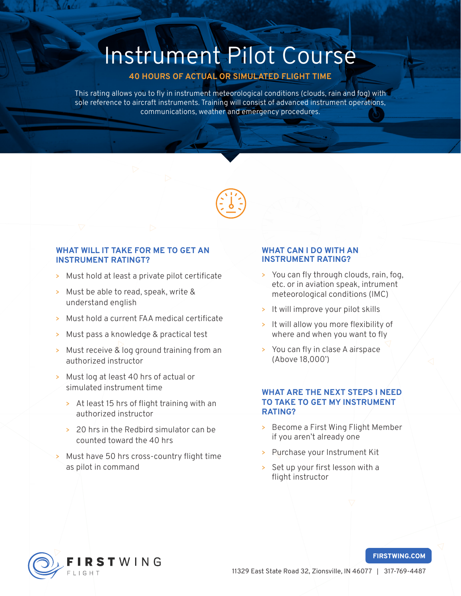# Instrument Pilot Course

## 40 HOURS OF ACTUAL OR SIMULATED FLIGHT TIME

This rating allows you to fly in instrument meteorological conditions (clouds, rain and fog) with sole reference to aircraft instruments. Training will consist of advanced instrument operations, communications, weather and emergency procedures.



## WHAT WILL IT TAKE FOR ME TO GET AN INSTRUMENT RATINGT?

- > Must hold at least a private pilot certificate
- > Must be able to read, speak, write & understand english
- > Must hold a current FAA medical certificate
- > Must pass a knowledge & practical test
- > Must receive & log ground training from an authorized instructor
- > Must log at least 40 hrs of actual or simulated instrument time
	- > At least 15 hrs of flight training with an authorized instructor
	- > 20 hrs in the Redbird simulator can be counted toward the 40 hrs
- > Must have 50 hrs cross-country flight time as pilot in command

### WHAT CAN I DO WITH AN INSTRUMENT RATING?

- > You can fly through clouds, rain, fog, etc. or in aviation speak, intrument meteorological conditions (IMC)
- > It will improve your pilot skills
- > It will allow you more flexibility of where and when you want to fly
- > You can fly in clase A airspace (Above 18,000')

## WHAT ARE THE NEXT STEPS I NEED TO TAKE TO GET MY INSTRUMENT RATING?

- > Become a First Wing Flight Member if you aren't already one
- > Purchase your Instrument Kit
- > Set up your first lesson with a flight instructor



#### FIRSTWING.COM